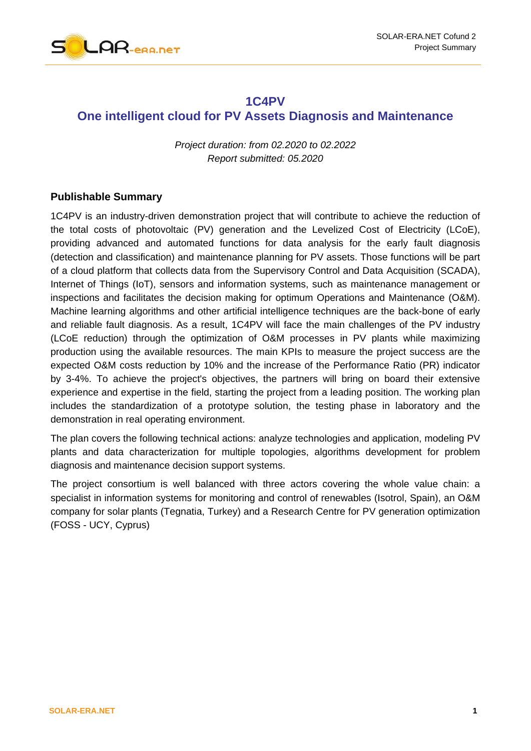

### **1C4PV**

### **One intelligent cloud for PV Assets Diagnosis and Maintenance**

*Project duration: from 02.2020 to 02.2022 Report submitted: 05.2020* 

#### **Publishable Summary**

1C4PV is an industry-driven demonstration project that will contribute to achieve the reduction of the total costs of photovoltaic (PV) generation and the Levelized Cost of Electricity (LCoE), providing advanced and automated functions for data analysis for the early fault diagnosis (detection and classification) and maintenance planning for PV assets. Those functions will be part of a cloud platform that collects data from the Supervisory Control and Data Acquisition (SCADA), Internet of Things (IoT), sensors and information systems, such as maintenance management or inspections and facilitates the decision making for optimum Operations and Maintenance (O&M). Machine learning algorithms and other artificial intelligence techniques are the back-bone of early and reliable fault diagnosis. As a result, 1C4PV will face the main challenges of the PV industry (LCoE reduction) through the optimization of O&M processes in PV plants while maximizing production using the available resources. The main KPIs to measure the project success are the expected O&M costs reduction by 10% and the increase of the Performance Ratio (PR) indicator by 3-4%. To achieve the project's objectives, the partners will bring on board their extensive experience and expertise in the field, starting the project from a leading position. The working plan includes the standardization of a prototype solution, the testing phase in laboratory and the demonstration in real operating environment.

The plan covers the following technical actions: analyze technologies and application, modeling PV plants and data characterization for multiple topologies, algorithms development for problem diagnosis and maintenance decision support systems.

The project consortium is well balanced with three actors covering the whole value chain: a specialist in information systems for monitoring and control of renewables (Isotrol, Spain), an O&M company for solar plants (Tegnatia, Turkey) and a Research Centre for PV generation optimization (FOSS - UCY, Cyprus)